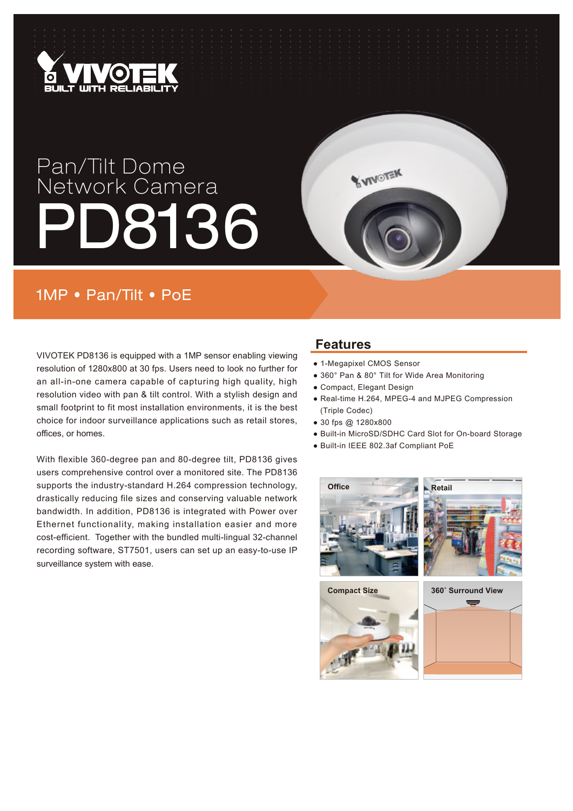

# Pan/Tilt Dome Network Camera PD8136

## 1MP • Pan/Tilt • PoE

VIVOTEK PD8136 is equipped with a 1MP sensor enabling viewing resolution of 1280x800 at 30 fps. Users need to look no further for an all-in-one camera capable of capturing high quality, high resolution video with pan & tilt control. With a stylish design and small footprint to fit most installation environments, it is the best choice for indoor surveillance applications such as retail stores, offices, or homes.

With flexible 360-degree pan and 80-degree tilt, PD8136 gives users comprehensive control over a monitored site. The PD8136 supports the industry-standard H.264 compression technology, drastically reducing file sizes and conserving valuable network bandwidth. In addition, PD8136 is integrated with Power over Ethernet functionality, making installation easier and more cost-efficient. Together with the bundled multi-lingual 32-channel recording software, ST7501, users can set up an easy-to-use IP surveillance system with ease.

### **Features**

● 1-Megapixel CMOS Sensor

**WINOTEK** 

- 360° Pan & 80° Tilt for Wide Area Monitoring
- Compact, Elegant Design
- Real-time H.264, MPEG-4 and MJPEG Compression (Triple Codec)
- 30 fps @ 1280x800
- Built-in MicroSD/SDHC Card Slot for On-board Storage
- Built-in IEEE 802.3af Compliant PoE